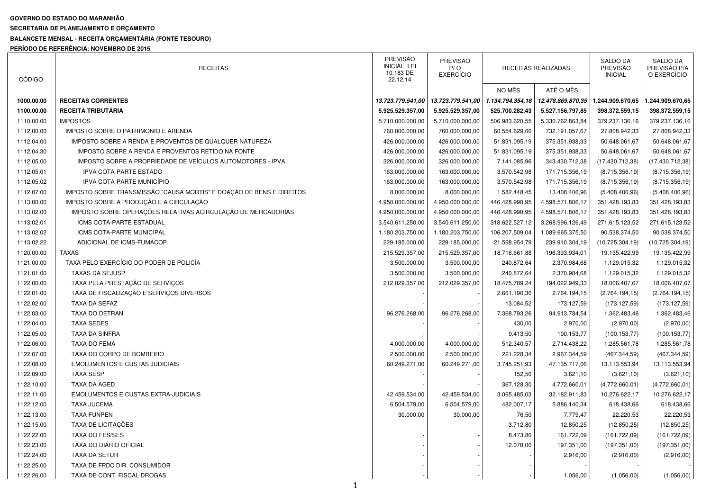## **GOVERNO DO ESTADO DO MARANHÃO**

**SECRETARIA DE PLANEJAMENTO E ORÇAMENTO** 

## **BALANCETE MENSAL - RECEITA ORÇAMENTÁRIA (FONTE TESOURO)**

**PERÍODO DE REFERÊNCIA: NOVEMBRO DE 2015** 

| <b>CÓDIGO</b> | <b>RECEITAS</b>                                                      | <b>PREVISÃO</b><br><b>INICIAL LEI</b><br>10.183 DE<br>22.12.14 | PREVISÃO<br>P/O<br><b>EXERCÍCIO</b> | RECEITAS REALIZADAS |                   | <b>SALDO DA</b><br>PREVISÃO<br><b>INICIAL</b> | SALDO DA<br>PREVISÃO P/A<br>O EXERCÍCIO |
|---------------|----------------------------------------------------------------------|----------------------------------------------------------------|-------------------------------------|---------------------|-------------------|-----------------------------------------------|-----------------------------------------|
|               |                                                                      |                                                                |                                     | NO MÊS              | ATÉ O MÊS         |                                               |                                         |
| 1000.00.00    | <b>RECEITAS CORRENTES</b>                                            | 13.723.779.541,00                                              | 13.723.779.541,00                   | 1.134.794.354,18    | 12.478.869.870,35 | 1.244.909.670,65                              | 1.244.909.670,65                        |
| 1100.00.00    | RECEITA TRIBUTÁRIA                                                   | 5.925.529.357,00                                               | 5.925.529.357,00                    | 525.700.282,43      | 5.527.156.797,85  | 398.372.559,15                                | 398.372.559,15                          |
| 1110.00.00    | <b>IMPOSTOS</b>                                                      | 5.710.000.000.00                                               | 5.710.000.000,00                    | 506.983.620,55      | 5.330.762.863,84  | 379.237.136,16                                | 379.237.136,16                          |
| 1112.00.00    | IMPOSTO SOBRE O PATRIMONIO E ARENDA                                  | 760.000.000,00                                                 | 760.000.000,00                      | 60.554.629,60       | 732.191.057,67    | 27.808.942,33                                 | 27.808.942,33                           |
| 1112.04.00    | IMPOSTO SOBRE A RENDA E PROVENTOS DE QUALQUER NATUREZA               | 426.000.000,00                                                 | 426.000.000,00                      | 51.831.095,19       | 375.351.938,33    | 50.648.061,67                                 | 50.648.061,67                           |
| 1112.04.30    | IMPOSTO SOBRE A RENDA E PROVENTOS RETIDO NA FONTE                    | 426.000.000,00                                                 | 426.000.000,00                      | 51.831.095,19       | 375.351.938,33    | 50.648.061,67                                 | 50.648.061,67                           |
| 1112.05.00    | IMPOSTO SOBRE A PROPRIEDADE DE VEÍCULOS AUTOMOTORES - IPVA           | 326.000.000,00                                                 | 326.000.000,00                      | 7.141.085,96        | 343.430.712,38    | (17.430.712,38)                               | (17.430.712,38)                         |
| 1112.05.01    | <b>IPVA COTA-PARTE ESTADO</b>                                        | 163.000.000,00                                                 | 163.000.000,00                      | 3.570.542,98        | 171.715.356,19    | (8.715.356, 19)                               | (8.715.356, 19)                         |
| 1112.05.02    | <b>IPVA COTA-PARTE MUNICÍPIO</b>                                     | 163.000.000,00                                                 | 163.000.000,00                      | 3.570.542,98        | 171.715.356,19    | (8.715.356, 19)                               | (8.715.356, 19)                         |
| 1112.07.00    | IMPOSTO SOBRE TRANSMISSÃO "CAUSA MORTIS" E DOAÇÃO DE BENS E DIREITOS | 8.000.000,00                                                   | 8.000.000,00                        | 1.582.448,45        | 13.408.406,96     | (5.408.406,96)                                | (5.408.406,96)                          |
| 1113.00.00    | IMPOSTO SOBRE A PRODUÇÃO E A CIRCULAÇÃO                              | 4.950.000.000,00                                               | 4.950.000.000,00                    | 446.428.990,95      | 4.598.571.806,17  | 351.428.193,83                                | 351.428.193,83                          |
| 1113.02.00    | IMPOSTO SOBRE OPERAÇÕES RELATIVAS ACIRCULAÇÃO DE MERCADORIAS         | 4.950.000.000,00                                               | 4.950.000.000,00                    | 446.428.990,95      | 4.598.571.806,17  | 351.428.193,83                                | 351.428.193,83                          |
| 1113.02.01    | <b>ICMS COTA-PARTE ESTADUAL</b>                                      | 3.540.611.250,00                                               | 3.540.611.250,00                    | 318.622.527,12      | 3.268.996.126,49  | 271.615.123,52                                | 271.615.123,52                          |
| 1113.02.02    | ICMS COTA-PARTE MUNICIPAL                                            | 1.180.203.750,00                                               | 1.180.203.750,00                    | 106.207.509,04      | 1.089.665.375,50  | 90.538.374,50                                 | 90.538.374,50                           |
| 1113.02.22    | ADICIONAL DE ICMS-FUMACOP                                            | 229.185.000,00                                                 | 229.185.000,00                      | 21.598.954,79       | 239.910.304,19    | (10.725.304, 19)                              | (10.725.304, 19)                        |
| 1120.00.00    | <b>TAXAS</b>                                                         | 215.529.357,00                                                 | 215.529.357,00                      | 18.716.661,88       | 196.393.934,01    | 19.135.422,99                                 | 19.135.422,99                           |
| 1121.00.00    | TAXA PELO EXERCÍCIO DO PODER DE POLICÍA                              | 3.500.000,00                                                   | 3.500.000,00                        | 240.872,64          | 2.370.984,68      | 1.129.015,32                                  | 1.129.015,32                            |
| 1121.01.00    | <b>TAXAS DA SEJUSP</b>                                               | 3.500.000,00                                                   | 3.500.000,00                        | 240.872,64          | 2.370.984,68      | 1.129.015,32                                  | 1.129.015,32                            |
| 1122.00.00    | TAXA PELA PRESTAÇÃO DE SERVIÇOS                                      | 212.029.357,00                                                 | 212.029.357,00                      | 18.475.789,24       | 194.022.949,33    | 18.006.407,67                                 | 18.006.407,67                           |
| 1122.01.00    | TAXA DE FISCALIZAÇÃO E SERVIÇOS DIVERSOS                             |                                                                |                                     | 2.661.190,30        | 2.764.194,15      | (2.764.194, 15)                               | (2.764.194, 15)                         |
| 1122.02.00    | <b>TAXA DA SEFAZ</b>                                                 |                                                                |                                     | 13.084,52           | 173.127,59        | (173.127,59)                                  | (173.127,59)                            |
| 1122.03.00    | TAXA DO DETRAN                                                       | 96.276.268,00                                                  | 96.276.268,00                       | 7.368.793,26        | 94.913.784,54     | 1.362.483,46                                  | 1.362.483,46                            |
| 1122.04.00    | <b>TAXA SEDES</b>                                                    |                                                                |                                     | 430,00              | 2.970,00          | (2.970,00)                                    | (2.970,00)                              |
| 1122.05.00    | <b>TAXA DA SINFRA</b>                                                |                                                                |                                     | 9.413,50            | 100.153,77        | (100.153, 77)                                 | (100.153,77)                            |
| 1122.06.00    | <b>TAXA DO FEMA</b>                                                  | 4.000.000,00                                                   | 4.000.000,00                        | 512.340,57          | 2.714.438,22      | 1.285.561,78                                  | 1.285.561,78                            |
| 1122.07.00    | TAXA DO CORPO DE BOMBEIRO                                            | 2.500.000,00                                                   | 2.500.000,00                        | 221.228,34          | 2.967.344,59      | (467.344, 59)                                 | (467.344, 59)                           |
| 1122.08.00    | <b>EMOLUMENTOS E CUSTAS JUDICIAIS</b>                                | 60.249.271,00                                                  | 60.249.271,00                       | 3.745.251,93        | 47.135.717,06     | 13.113.553,94                                 | 13.113.553,94                           |
| 1122.09.00    | <b>TAXA SESP</b>                                                     |                                                                |                                     | 152,50              | 3.621,10          | (3.621, 10)                                   | (3.621, 10)                             |
| 1122.10.00    | TAXA DA AGED                                                         |                                                                |                                     | 367.128,30          | 4.772.660,01      | (4.772.660, 01)                               | (4.772.660, 01)                         |
| 1122.11.00    | <b>EMOLUMENTOS E CUSTAS EXTRA-JUDICIAIS</b>                          | 42.459.534,00                                                  | 42.459.534,00                       | 3.065.485,03        | 32.182.911,83     | 10.276.622,17                                 | 10.276.622,17                           |
| 1122.12.00    | <b>TAXA JUCEMA</b>                                                   | 6.504.579,00                                                   | 6.504.579,00                        | 482.007,17          | 5.886.140,34      | 618.438,66                                    | 618.438,66                              |
| 1122.13.00    | <b>TAXA FUNPEN</b>                                                   | 30.000,00                                                      | 30.000,00                           | 76,50               | 7.779,47          | 22.220,53                                     | 22.220,53                               |
| 1122.15.00    | TAXA DE LICITAÇÕES                                                   |                                                                |                                     | 3.712,80            | 12.850,25         | (12.850, 25)                                  | (12.850, 25)                            |
| 1122.22.00    | <b>TAXA DO FES/SES</b>                                               |                                                                |                                     | 8.473,80            | 161.722,09        | (161.722,09)                                  | (161.722,09)                            |
| 1122.23.00    | TAXA DO DIÁRIO OFICIAL                                               |                                                                |                                     | 12.078,00           | 197.351,00        | (197.351,00)                                  | (197.351,00)                            |
| 1122.24.00    | <b>TAXA DA SETUR</b>                                                 |                                                                |                                     |                     | 2.916,00          | (2.916,00)                                    | (2.916,00)                              |
| 1122.25.00    | TAXA DE FPDC DIR. CONSUMIDOR                                         |                                                                |                                     |                     |                   |                                               |                                         |
| 1122.26.00    | TAXA DE CONT. FISCAL DROGAS                                          |                                                                |                                     |                     | 1.056,00          | (1.056, 00)                                   | (1.056, 00)                             |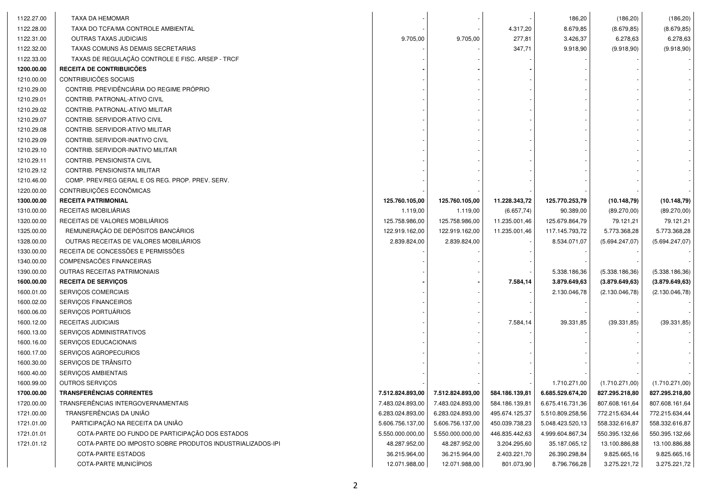| 1122.27.00 | TAXA DA HEMOMAR                                           |                  |                  |                | 186,20           | (186, 20)       | (186, 20)       |
|------------|-----------------------------------------------------------|------------------|------------------|----------------|------------------|-----------------|-----------------|
| 1122.28.00 | TAXA DO TCFA/MA CONTROLE AMBIENTAL                        |                  |                  | 4.317,20       | 8.679,85         | (8.679, 85)     | (8.679, 85)     |
| 1122.31.00 | <b>OUTRAS TAXAS JUDICIAIS</b>                             | 9.705,00         | 9.705,00         | 277,81         | 3.426,37         | 6.278,63        | 6.278,63        |
| 1122.32.00 | TAXAS COMUNS AS DEMAIS SECRETARIAS                        |                  |                  | 347,71         | 9.918,90         | (9.918, 90)     | (9.918, 90)     |
| 1122.33.00 | TAXAS DE REGULAÇÃO CONTROLE E FISC. ARSEP - TRCF          |                  |                  |                |                  |                 |                 |
| 1200.00.00 | RECEITA DE CONTRIBUICÕES                                  |                  |                  |                |                  |                 |                 |
| 1210.00.00 | CONTRIBUICÕES SOCIAIS                                     |                  |                  |                |                  |                 |                 |
| 1210.29.00 | CONTRIB. PREVIDÊNCIÁRIA DO REGIME PRÓPRIO                 |                  |                  |                |                  |                 |                 |
| 1210.29.01 | CONTRIB. PATRONAL-ATIVO CIVIL                             |                  |                  |                |                  |                 |                 |
| 1210.29.02 | CONTRIB. PATRONAL-ATIVO MILITAR                           |                  |                  |                |                  |                 |                 |
| 1210.29.07 | CONTRIB. SERVIDOR-ATIVO CIVIL                             |                  |                  |                |                  |                 |                 |
| 1210.29.08 | CONTRIB. SERVIDOR-ATIVO MILITAR                           |                  |                  |                |                  |                 |                 |
| 1210.29.09 | CONTRIB. SERVIDOR-INATIVO CIVIL                           |                  |                  |                |                  |                 |                 |
| 1210.29.10 | CONTRIB. SERVIDOR-INATIVO MILITAR                         |                  |                  |                |                  |                 |                 |
| 1210.29.11 | CONTRIB. PENSIONISTA CIVIL                                |                  |                  |                |                  |                 |                 |
| 1210.29.12 | CONTRIB. PENSIONISTA MILITAR                              |                  |                  |                |                  |                 |                 |
| 1210.46.00 | COMP. PREV/REG GERAL E OS REG. PROP. PREV. SERV.          |                  |                  |                |                  |                 |                 |
| 1220.00.00 | CONTRIBUIÇÕES ECONÔMICAS                                  |                  |                  |                |                  |                 |                 |
| 1300.00.00 | <b>RECEITA PATRIMONIAL</b>                                | 125.760.105,00   | 125.760.105,00   | 11.228.343,72  | 125.770.253,79   | (10.148,79)     | (10.148,79)     |
| 1310.00.00 | RECEITAS IMOBILIÁRIAS                                     | 1.119,00         | 1.119,00         | (6.657, 74)    | 90.389,00        | (89.270,00)     | (89.270,00)     |
| 1320.00.00 | RECEITAS DE VALORES MOBILIÁRIOS                           | 125.758.986,00   | 125.758.986,00   | 11.235.001,46  | 125.679.864,79   | 79.121,21       | 79.121,21       |
| 1325.00.00 | REMUNERAÇÃO DE DEPÓSITOS BANCÁRIOS                        | 122.919.162,00   | 122.919.162,00   | 11.235.001,46  | 117.145.793,72   | 5.773.368,28    | 5.773.368,28    |
| 1328.00.00 | OUTRAS RECEITAS DE VALORES MOBILIÁRIOS                    | 2.839.824,00     | 2.839.824,00     |                | 8.534.071,07     | (5.694.247,07)  | (5.694.247,07)  |
| 1330.00.00 | RECEITA DE CONCESSÕES E PERMISSÕES                        |                  |                  |                |                  |                 |                 |
| 1340.00.00 | COMPENSACÕES FINANCEIRAS                                  |                  |                  |                |                  |                 |                 |
| 1390.00.00 | OUTRAS RECEITAS PATRIMONIAIS                              |                  |                  |                | 5.338.186,36     | (5.338.186, 36) | (5.338.186,36)  |
| 1600.00.00 | <b>RECEITA DE SERVIÇOS</b>                                |                  |                  | 7.584,14       | 3.879.649,63     | (3.879.649, 63) | (3.879.649, 63) |
| 1600.01.00 | SERVIÇOS COMERCIAIS                                       |                  |                  |                | 2.130.046,78     | (2.130.046,78)  | (2.130.046,78)  |
| 1600.02.00 | SERVIÇOS FINANCEIROS                                      |                  |                  |                |                  |                 |                 |
| 1600.06.00 | SERVIÇOS PORTUÁRIOS                                       |                  |                  |                |                  |                 |                 |
| 1600.12.00 | RECEITAS JUDICIAIS                                        |                  |                  | 7.584,14       | 39.331,85        | (39.331, 85)    | (39.331, 85)    |
| 1600.13.00 | SERVIÇOS ADMINISTRATIVOS                                  |                  |                  |                |                  |                 |                 |
| 1600.16.00 | SERVIÇOS EDUCACIONAIS                                     |                  |                  |                |                  |                 |                 |
| 1600.17.00 | SERVIÇOS AGROPECURIOS                                     |                  |                  |                |                  |                 |                 |
| 1600.30.00 | SERVIÇOS DE TRÂNSITO                                      |                  |                  |                |                  |                 |                 |
| 1600.40.00 | SERVIÇOS AMBIENTAIS                                       |                  |                  |                |                  |                 |                 |
| 1600.99.00 | OUTROS SERVIÇOS                                           |                  |                  |                | 1.710.271,00     | (1.710.271,00)  | (1.710.271,00)  |
| 1700.00.00 | <b>TRANSFERENCIAS CORRENTES</b>                           | 7.512.824.893,00 | 7.512.824.893,00 | 584.186.139,81 | 6.685.529.674,20 | 827.295.218,80  | 827.295.218,80  |
| 1720.00.00 | TRANSFERÊNCIAS INTERGOVERNAMENTAIS                        | 7.483.024.893,00 | 7.483.024.893,00 | 584.186.139,81 | 6.675.416.731,36 | 807.608.161,64  | 807.608.161,64  |
| 1721.00.00 | TRANSFERÊNCIAS DA UNIÃO                                   | 6.283.024.893,00 | 6.283.024.893,00 | 495.674.125,37 | 5.510.809.258,56 | 772.215.634,44  | 772.215.634,44  |
| 1721.01.00 | PARTICIPAÇÃO NA RECEITA DA UNIÃO                          | 5.606.756.137,00 | 5.606.756.137,00 | 450.039.738,23 | 5.048.423.520,13 | 558.332.616,87  | 558.332.616,87  |
| 1721.01.01 | COTA-PARTE DO FUNDO DE PARTICIPAÇÃO DOS ESTADOS           | 5.550.000.000,00 | 5.550.000.000,00 | 446.835.442,63 | 4.999.604.867,34 | 550.395.132,66  | 550.395.132,66  |
| 1721.01.12 | COTA-PARTE DO IMPOSTO SOBRE PRODUTOS INDUSTRIALIZADOS-IPI | 48.287.952,00    | 48.287.952,00    | 3.204.295,60   | 35.187.065,12    | 13.100.886,88   | 13.100.886,88   |
|            | COTA-PARTE ESTADOS                                        | 36.215.964,00    | 36.215.964,00    | 2.403.221,70   | 26.390.298,84    | 9.825.665,16    | 9.825.665,16    |
|            | COTA-PARTE MUNICÍPIOS                                     | 12.071.988,00    | 12.071.988,00    | 801.073,90     | 8.796.766,28     | 3.275.221,72    | 3.275.221,72    |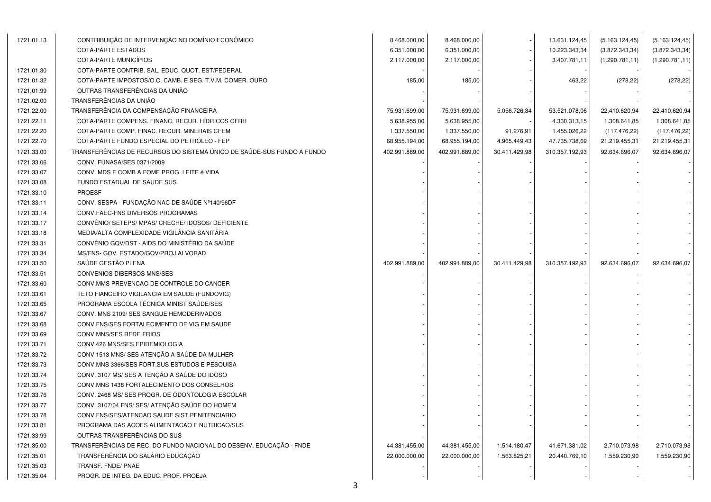| 1721.01.13 | CONTRIBUIÇÃO DE INTERVENÇÃO NO DOMÍNIO ECONÔMICO                       | 8.468.000,00   | 8.468.000,00   |               | 13.631.124,45  | (5.163.124, 45) | (5.163.124, 45) |
|------------|------------------------------------------------------------------------|----------------|----------------|---------------|----------------|-----------------|-----------------|
|            | <b>COTA-PARTE ESTADOS</b>                                              | 6.351.000,00   | 6.351.000,00   |               | 10.223.343,34  | (3.872.343, 34) | (3.872.343, 34) |
|            | COTA-PARTE MUNICÍPIOS                                                  | 2.117.000,00   | 2.117.000,00   |               | 3.407.781,11   | (1.290.781, 11) | (1.290.781, 11) |
| 1721.01.30 | COTA-PARTE CONTRIB. SAL. EDUC. QUOT. EST/FEDERAL                       |                |                |               |                |                 |                 |
| 1721.01.32 | COTA-PARTE IMPOSTOS/O.C. CAMB. E SEG. T.V.M. COMER. OURO               | 185,00         | 185,00         |               | 463,22         | (278, 22)       | (278, 22)       |
| 1721.01.99 | OUTRAS TRANSFERÊNCIAS DA UNIÃO                                         |                |                |               |                |                 |                 |
| 1721.02.00 | TRANSFERÊNCIAS DA UNIÃO                                                |                |                |               |                |                 |                 |
| 1721.22.00 | TRANSFERÊNCIA DA COMPENSAÇÃO FINANCEIRA                                | 75.931.699,00  | 75.931.699,00  | 5.056.726,34  | 53.521.078,06  | 22.410.620,94   | 22.410.620,94   |
| 1721.22.11 | COTA-PARTE COMPENS. FINANC. RECUR. HIDRICOS CFRH                       | 5.638.955,00   | 5.638.955,00   |               | 4.330.313,15   | 1.308.641,85    | 1.308.641,85    |
| 1721.22.20 | COTA-PARTE COMP. FINAC. RECUR. MINERAIS CFEM                           | 1.337.550,00   | 1.337.550,00   | 91.276,91     | 1.455.026,22   | (117.476,22)    | (117.476,22)    |
| 1721.22.70 | COTA-PARTE FUNDO ESPECIAL DO PETRÓLEO - FEP                            | 68.955.194,00  | 68.955.194,00  | 4.965.449,43  | 47.735.738,69  | 21.219.455,31   | 21.219.455,31   |
| 1721.33.00 | TRANSFERÊNCIAS DE RECURSOS DO SISTEMA ÚNICO DE SAÚDE-SUS FUNDO A FUNDO | 402.991.889,00 | 402.991.889,00 | 30.411.429,98 | 310.357.192,93 | 92.634.696,07   | 92.634.696,07   |
| 1721.33.06 | CONV. FUNASA/SES 0371/2009                                             |                |                |               |                |                 |                 |
| 1721.33.07 | CONV. MDS E COMB A FOME PROG. LEITE é VIDA                             |                |                |               |                |                 |                 |
| 1721.33.08 | FUNDO ESTADUAL DE SAUDE SUS                                            |                |                |               |                |                 |                 |
| 1721.33.10 | <b>PROESF</b>                                                          |                |                |               |                |                 |                 |
| 1721.33.11 | CONV. SESPA - FUNDAÇÃO NAC DE SAÚDE Nº140/96DF                         |                |                |               |                |                 |                 |
| 1721.33.14 | CONV.FAEC-FNS DIVERSOS PROGRAMAS                                       |                |                |               |                |                 |                 |
| 1721.33.17 | CONVÊNIO/ SETEPS/ MPAS/ CRECHE/ IDOSOS/ DEFICIENTE                     |                |                |               |                |                 |                 |
| 1721.33.18 | MEDIA/ALTA COMPLEXIDADE VIGILÂNCIA SANITÁRIA                           |                |                |               |                |                 |                 |
| 1721.33.31 | CONVÊNIO GQV/DST - AIDS DO MINISTÉRIO DA SAÚDE                         |                |                |               |                |                 |                 |
| 1721.33.34 | MS/FNS- GOV. ESTADO/GQV/PROJ.ALVORAD                                   |                |                |               |                |                 |                 |
| 1721.33.50 | SAÚDE GESTÃO PLENA                                                     | 402.991.889,00 | 402.991.889,00 | 30.411.429,98 | 310.357.192,93 | 92.634.696,07   | 92.634.696,07   |
| 1721.33.51 | CONVENIOS DIBERSOS MNS/SES                                             |                |                |               |                |                 |                 |
| 1721.33.60 | CONV.MMS PREVENCAO DE CONTROLE DO CANCER                               |                |                |               |                |                 |                 |
| 1721.33.61 | TETO FIANCEIRO VIGILANCIA EM SAUDE (FUNDOVIG)                          |                |                |               |                |                 |                 |
| 1721.33.65 | PROGRAMA ESCOLA TÉCNICA MINIST SAÚDE/SES                               |                |                |               |                |                 |                 |
| 1721.33.67 | CONV. MNS 2109/ SES SANGUE HEMODERIVADOS                               |                |                |               |                |                 |                 |
| 1721.33.68 | CONV. FNS/SES FORTALECIMENTO DE VIG EM SAUDE                           |                |                |               |                |                 |                 |
| 1721.33.69 | CONV.MNS/SES REDE FRIOS                                                |                |                |               |                |                 |                 |
| 1721.33.71 | CONV.426 MNS/SES EPIDEMIOLOGIA                                         |                |                |               |                |                 |                 |
| 1721.33.72 | CONV 1513 MNS/ SES ATENÇÃO A SAÚDE DA MULHER                           |                |                |               |                |                 |                 |
| 1721.33.73 | CONV.MNS 3366/SES FORT.SUS ESTUDOS E PESQUISA                          |                |                |               |                |                 |                 |
| 1721.33.74 | CONV. 3107 MS/ SES A TENÇÃO A SAÚDE DO IDOSO                           |                |                |               |                |                 |                 |
| 1721.33.75 | CONV.MNS 1438 FORTALECIMENTO DOS CONSELHOS                             |                |                |               |                |                 |                 |
| 1721.33.76 | CONV. 2468 MS/ SES PROGR. DE ODONTOLOGIA ESCOLAR                       |                |                |               |                |                 |                 |
| 1721.33.77 | CONV. 3107/04 FNS/ SES/ ATENÇÃO SAÚDE DO HOMEM                         |                |                |               |                |                 |                 |
| 1721.33.78 | CONV.FNS/SES/ATENCAO SAUDE SIST.PENITENCIARIO                          |                |                |               |                |                 |                 |
| 1721.33.81 | PROGRAMA DAS ACOES ALIMENTACAO E NUTRICAO/SUS                          |                |                |               |                |                 |                 |
| 1721.33.99 | OUTRAS TRANSFERÊNCIAS DO SUS                                           |                |                |               |                |                 |                 |
| 1721.35.00 | TRANSFERÊNCIAS DE REC. DO FUNDO NACIONAL DO DESENV. EDUCAÇÃO - FNDE    | 44.381.455,00  | 44.381.455,00  | 1.514.180,47  | 41.671.381,02  | 2.710.073,98    | 2.710.073,98    |
| 1721.35.01 | TRANSFERÊNCIA DO SALÁRIO EDUCAÇÃO                                      | 22.000.000,00  | 22.000.000,00  | 1.563.825,21  | 20.440.769,10  | 1.559.230,90    | 1.559.230,90    |
| 1721.35.03 | TRANSF. FNDE/ PNAE                                                     |                |                |               |                |                 |                 |
| 1721.35.04 | PROGR. DE INTEG. DA EDUC. PROF. PROEJA                                 |                |                |               |                |                 |                 |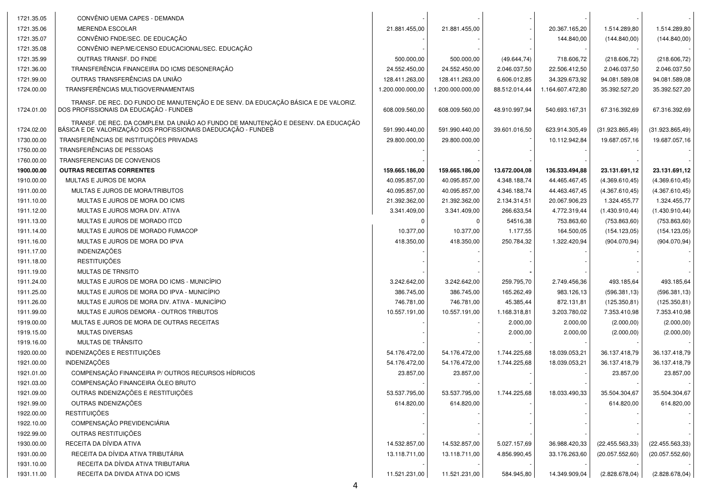| 1721.35.05               | CONVÊNIO UEMA CAPES - DEMANDA<br><b>MERENDA ESCOLAR</b>                                                                                            |                  |                  |               | 20.367.165,20    |                              |                  |
|--------------------------|----------------------------------------------------------------------------------------------------------------------------------------------------|------------------|------------------|---------------|------------------|------------------------------|------------------|
| 1721.35.06<br>1721.35.07 | CONVÊNIO FNDE/SEC. DE EDUCAÇÃO                                                                                                                     | 21.881.455,00    | 21.881.455,00    |               |                  | 1.514.289,80<br>(144.840,00) | 1.514.289,80     |
|                          | CONVÊNIO INEP/ME/CENSO EDUCACIONAL/SEC. EDUCAÇÃO                                                                                                   |                  |                  |               | 144.840,00       |                              | (144.840,00)     |
| 1721.35.08               | <b>OUTRAS TRANSF, DO FNDE</b>                                                                                                                      |                  |                  |               |                  |                              |                  |
| 1721.35.99               |                                                                                                                                                    | 500.000,00       | 500.000,00       | (49.644, 74)  | 718.606,72       | (218.606, 72)                | (218.606, 72)    |
| 1721.36.00               | TRANSFERÊNCIA FINANCEIRA DO ICMS DESONERAÇÃO                                                                                                       | 24.552.450,00    | 24.552.450,00    | 2.046.037,50  | 22.506.412,50    | 2.046.037,50                 | 2.046.037,50     |
| 1721.99.00               | OUTRAS TRANSFERÊNCIAS DA UNIÃO                                                                                                                     | 128.411.263,00   | 128.411.263,00   | 6.606.012,85  | 34.329.673,92    | 94.081.589,08                | 94.081.589,08    |
| 1724.00.00               | TRANSFERÊNCIAS MULTIGOVERNAMENTAIS                                                                                                                 | 1.200.000.000,00 | 1.200.000.000,00 | 88.512.014,44 | 1.164.607.472,80 | 35.392.527,20                | 35.392.527,20    |
| 1724.01.00               | TRANSF. DE REC. DO FUNDO DE MANUTENÇÃO E DE SENV. DA EDUCAÇÃO BÁSICA E DE VALORIZ.<br>DOS PROFISSIONAIS DA EDUCAÇÃO - FUNDEB                       | 608.009.560,00   | 608.009.560,00   | 48.910.997,94 | 540.693.167,31   | 67.316.392,69                | 67.316.392,69    |
| 1724.02.00               | TRANSF. DE REC. DA COMPLEM. DA UNIÃO AO FUNDO DE MANUTENÇÃO E DESENV. DA EDUCAÇÃO<br>BÁSICA E DE VALORIZAÇÃO DOS PROFISSIONAIS DAEDUCAÇÃO - FUNDEB | 591.990.440,00   | 591.990.440,00   | 39.601.016,50 | 623.914.305,49   | (31.923.865, 49)             | (31.923.865, 49) |
| 1730.00.00               | TRANSFERÊNCIAS DE INSTITUIÇÕES PRIVADAS                                                                                                            | 29.800.000,00    | 29.800.000,00    |               | 10.112.942,84    | 19.687.057,16                | 19.687.057,16    |
| 1750.00.00               | TRANSFERÊNCIAS DE PESSOAS                                                                                                                          |                  |                  |               |                  |                              |                  |
| 1760.00.00               | TRANSFERENCIAS DE CONVENIOS                                                                                                                        |                  |                  |               |                  |                              |                  |
| 1900.00.00               | <b>OUTRAS RECEITAS CORRENTES</b>                                                                                                                   | 159.665.186,00   | 159.665.186,00   | 13.672.004,08 | 136.533.494,88   | 23.131.691,12                | 23.131.691,12    |
| 1910.00.00               | MULTAS E JUROS DE MORA                                                                                                                             | 40.095.857,00    | 40.095.857,00    | 4.348.188,74  | 44.465.467,45    | (4.369.610, 45)              | (4.369.610, 45)  |
| 1911.00.00               | MULTAS E JUROS DE MORA/TRIBUTOS                                                                                                                    | 40.095.857,00    | 40.095.857,00    | 4.346.188,74  | 44.463.467,45    | (4.367.610, 45)              | (4.367.610, 45)  |
| 1911.10.00               | MULTAS E JUROS DE MORA DO ICMS                                                                                                                     | 21.392.362,00    | 21.392.362,00    | 2.134.314,51  | 20.067.906,23    | 1.324.455,77                 | 1.324.455,77     |
| 1911.12.00               | MULTAS E JUROS MORA DIV. ATIVA                                                                                                                     | 3.341.409,00     | 3.341.409,00     | 266.633,54    | 4.772.319,44     | (1.430.910, 44)              | (1.430.910, 44)  |
| 1911.13.00               | MULTAS E JUROS DE MORADO ITCD                                                                                                                      |                  | 0                | 54516,38      | 753.863,60       | (753.863, 60)                | (753.863, 60)    |
| 1911.14.00               | MULTAS E JUROS DE MORADO FUMACOP                                                                                                                   | 10.377,00        | 10.377,00        | 1.177,55      | 164.500,05       | (154.123,05)                 | (154.123,05)     |
| 1911.16.00               | MULTAS E JUROS DE MORA DO IPVA                                                                                                                     | 418.350,00       | 418.350,00       | 250.784,32    | 1.322.420,94     | (904.070, 94)                | (904.070, 94)    |
| 1911.17.00               | <b>INDENIZAÇÕES</b>                                                                                                                                |                  |                  |               |                  |                              |                  |
| 1911.18.00               | <b>RESTITUIÇÕES</b>                                                                                                                                |                  |                  |               |                  |                              |                  |
| 1911.19.00               | MULTAS DE TRNSITO                                                                                                                                  |                  |                  |               |                  |                              |                  |
| 1911.24.00               | MULTAS E JUROS DE MORA DO ICMS - MUNICÍPIO                                                                                                         | 3.242.642,00     | 3.242.642,00     | 259.795,70    | 2.749.456,36     | 493.185,64                   | 493.185,64       |
| 1911.25.00               | MULTAS E JUROS DE MORA DO IPVA - MUNICÍPIO                                                                                                         | 386.745,00       | 386.745,00       | 165.262,49    | 983.126,13       | (596.381, 13)                | (596.381, 13)    |
| 1911.26.00               | MULTAS E JUROS DE MORA DIV. ATIVA - MUNICÍPIO                                                                                                      | 746.781,00       | 746.781,00       | 45.385,44     | 872.131,81       | (125.350, 81)                | (125.350, 81)    |
| 1911.99.00               | MULTAS E JUROS DEMORA - OUTROS TRIBUTOS                                                                                                            | 10.557.191,00    | 10.557.191,00    | 1.168.318,81  | 3.203.780,02     | 7.353.410,98                 | 7.353.410,98     |
| 1919.00.00               | MULTAS E JUROS DE MORA DE OUTRAS RECEITAS                                                                                                          |                  |                  | 2.000,00      | 2.000,00         | (2.000, 00)                  | (2.000, 00)      |
| 1919.15.00               | <b>MULTAS DIVERSAS</b>                                                                                                                             |                  |                  | 2.000,00      | 2.000,00         | (2.000, 00)                  | (2.000, 00)      |
| 1919.16.00               | MULTAS DE TRÂNSITO                                                                                                                                 |                  |                  |               |                  |                              |                  |
| 1920.00.00               | INDENIZAÇÕES E RESTITUIÇÕES                                                                                                                        | 54.176.472.00    | 54.176.472,00    | 1.744.225,68  | 18.039.053,21    | 36.137.418,79                | 36.137.418,79    |
| 1921.00.00               | <b>INDENIZAÇÕES</b>                                                                                                                                | 54.176.472,00    | 54.176.472,00    | 1.744.225,68  | 18.039.053,21    | 36.137.418,79                | 36.137.418,79    |
| 1921.01.00               | COMPENSAÇÃO FINANCEIRA P/ OUTROS RECURSOS HÍDRICOS                                                                                                 | 23.857,00        | 23.857,00        |               |                  | 23.857,00                    | 23.857,00        |
| 1921.03.00               | COMPENSAÇÃO FINANCEIRA ÓLEO BRUTO                                                                                                                  |                  |                  |               |                  |                              |                  |
| 1921.09.00               | OUTRAS INDENIZAÇÕES E RESTITUIÇÕES                                                                                                                 | 53.537.795,00    | 53.537.795,00    | 1.744.225,68  | 18.033.490,33    | 35.504.304,67                | 35.504.304,67    |
| 1921.99.00               | OUTRAS INDENIZAÇÕES                                                                                                                                | 614.820,00       | 614.820,00       |               |                  | 614.820,00                   | 614.820,00       |
| 1922.00.00               | <b>RESTITUIÇÕES</b>                                                                                                                                |                  |                  |               |                  |                              |                  |
| 1922.10.00               | COMPENSAÇÃO PREVIDENCIÁRIA                                                                                                                         |                  |                  |               |                  |                              |                  |
| 1922.99.00               | OUTRAS RESTITUIÇÕES                                                                                                                                |                  |                  |               |                  |                              |                  |
| 1930.00.00               | RECEITA DA DÍVIDA ATIVA                                                                                                                            | 14.532.857,00    | 14.532.857,00    | 5.027.157,69  | 36.988.420,33    | (22.455.563,33)              | (22.455.563,33)  |
| 1931.00.00               | RECEITA DA DÍVIDA ATIVA TRIBUTÁRIA                                                                                                                 | 13.118.711,00    | 13.118.711,00    | 4.856.990,45  | 33.176.263,60    | (20.057.552,60)              | (20.057.552,60)  |
| 1931.10.00               | RECEITA DA DÍVIDA ATIVA TRIBUTARIA                                                                                                                 |                  |                  |               |                  |                              |                  |
| 1931.11.00               | RECEITA DA DIVIDA ATIVA DO ICMS                                                                                                                    | 11.521.231,00    | 11.521.231,00    | 584.945,80    | 14.349.909,04    | (2.828.678,04)               | (2.828.678,04)   |